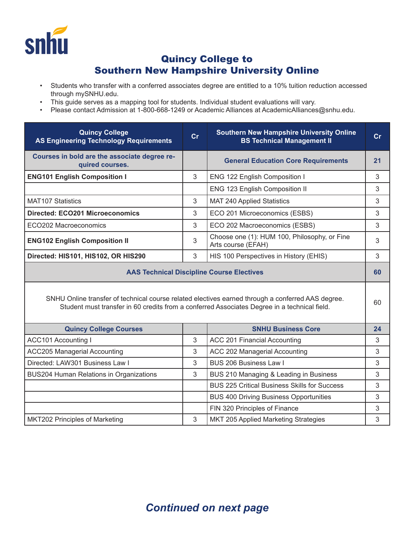

## Quincy College to Southern New Hampshire University Online

- Students who transfer with a conferred associates degree are entitled to a 10% tuition reduction accessed through mySNHU.edu.
- This guide serves as a mapping tool for students. Individual student evaluations will vary.
- Please contact Admission at 1-800-668-1249 or Academic Alliances at AcademicAlliances@snhu.edu.

| <b>Quincy College</b><br><b>AS Engineering Technology Requirements</b>                                                                                                                            | cr | <b>Southern New Hampshire University Online</b><br><b>BS Technical Management II</b> | cr |
|---------------------------------------------------------------------------------------------------------------------------------------------------------------------------------------------------|----|--------------------------------------------------------------------------------------|----|
| Courses in bold are the associate degree re-<br>quired courses.                                                                                                                                   |    | <b>General Education Core Requirements</b>                                           | 21 |
| <b>ENG101 English Composition I</b>                                                                                                                                                               | 3  | ENG 122 English Composition I                                                        | 3  |
|                                                                                                                                                                                                   |    | ENG 123 English Composition II                                                       | 3  |
| <b>MAT107 Statistics</b>                                                                                                                                                                          | 3  | <b>MAT 240 Applied Statistics</b>                                                    | 3  |
| <b>Directed: ECO201 Microeconomics</b>                                                                                                                                                            | 3  | ECO 201 Microeconomics (ESBS)                                                        | 3  |
| ECO202 Macroeconomics                                                                                                                                                                             | 3  | ECO 202 Macroeconomics (ESBS)                                                        | 3  |
| <b>ENG102 English Composition II</b>                                                                                                                                                              | 3  | Choose one (1): HUM 100, Philosophy, or Fine<br>Arts course (EFAH)                   | 3  |
| Directed: HIS101, HIS102, OR HIS290                                                                                                                                                               | 3  | HIS 100 Perspectives in History (EHIS)                                               | 3  |
| <b>AAS Technical Discipline Course Electives</b>                                                                                                                                                  |    |                                                                                      |    |
| SNHU Online transfer of technical course related electives earned through a conferred AAS degree.<br>Student must transfer in 60 credits from a conferred Associates Degree in a technical field. |    |                                                                                      |    |
| <b>Quincy College Courses</b>                                                                                                                                                                     |    | <b>SNHU Business Core</b>                                                            | 24 |
| <b>ACC101 Accounting I</b>                                                                                                                                                                        | 3  | ACC 201 Financial Accounting                                                         | 3  |
| <b>ACC205 Managerial Accounting</b>                                                                                                                                                               | 3  | ACC 202 Managerial Accounting                                                        | 3  |
| Directed: LAW301 Business Law I                                                                                                                                                                   | 3  | <b>BUS 206 Business Law I</b>                                                        | 3  |
| <b>BUS204 Human Relations in Organizations</b>                                                                                                                                                    | 3  | BUS 210 Managing & Leading in Business                                               | 3  |
|                                                                                                                                                                                                   |    | <b>BUS 225 Critical Business Skills for Success</b>                                  | 3  |
|                                                                                                                                                                                                   |    | <b>BUS 400 Driving Business Opportunities</b>                                        | 3  |
|                                                                                                                                                                                                   |    | FIN 320 Principles of Finance                                                        | 3  |
| <b>MKT202 Principles of Marketing</b>                                                                                                                                                             | 3  | MKT 205 Applied Marketing Strategies                                                 | 3  |